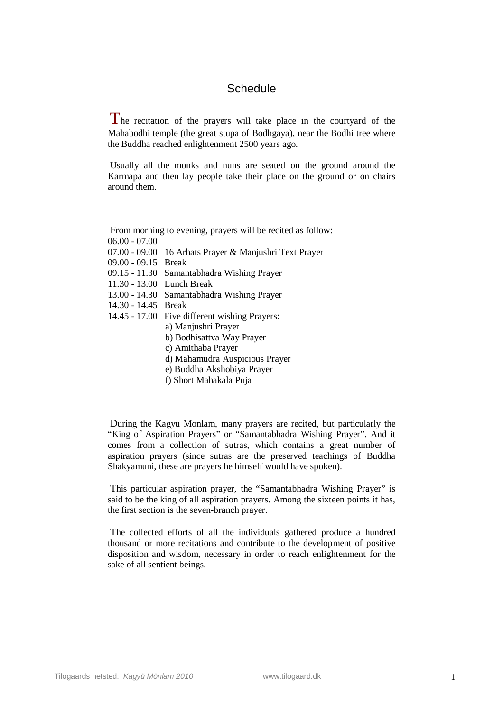## **Schedule**

 $\Gamma$  he recitation of the prayers will take place in the courtyard of the Mahabodhi temple (the great stupa of Bodhgaya), near the Bodhi tree where the Buddha reached enlightenment 2500 years ago.

Usually all the monks and nuns are seated on the ground around the Karmapa and then lay people take their place on the ground or on chairs around them.

From morning to evening, prayers will be recited as follow:

- 06.00 07.00
- 07.00 09.00 16 Arhats Prayer & Manjushri Text Prayer
- 09.00 09.15 Break
- 09.15 11.30 Samantabhadra Wishing Prayer
- 11.30 13.00 Lunch Break
- 13.00 14.30 Samantabhadra Wishing Prayer
- 14.30 14.45 Break
- 14.45 17.00 Five different wishing Prayers:
	- a) Manjushri Prayer
	- b) Bodhisattva Way Prayer
	- c) Amithaba Prayer
	- d) Mahamudra Auspicious Prayer
	- e) Buddha Akshobiya Prayer
	- f) Short Mahakala Puja

During the Kagyu Monlam, many prayers are recited, but particularly the "King of Aspiration Prayers" or "Samantabhadra Wishing Prayer". And it comes from a collection of sutras, which contains a great number of aspiration prayers (since sutras are the preserved teachings of Buddha Shakyamuni, these are prayers he himself would have spoken).

This particular aspiration prayer, the "Samantabhadra Wishing Prayer" is said to be the king of all aspiration prayers. Among the sixteen points it has, the first section is the seven-branch prayer.

The collected efforts of all the individuals gathered produce a hundred thousand or more recitations and contribute to the development of positive disposition and wisdom, necessary in order to reach enlightenment for the sake of all sentient beings.